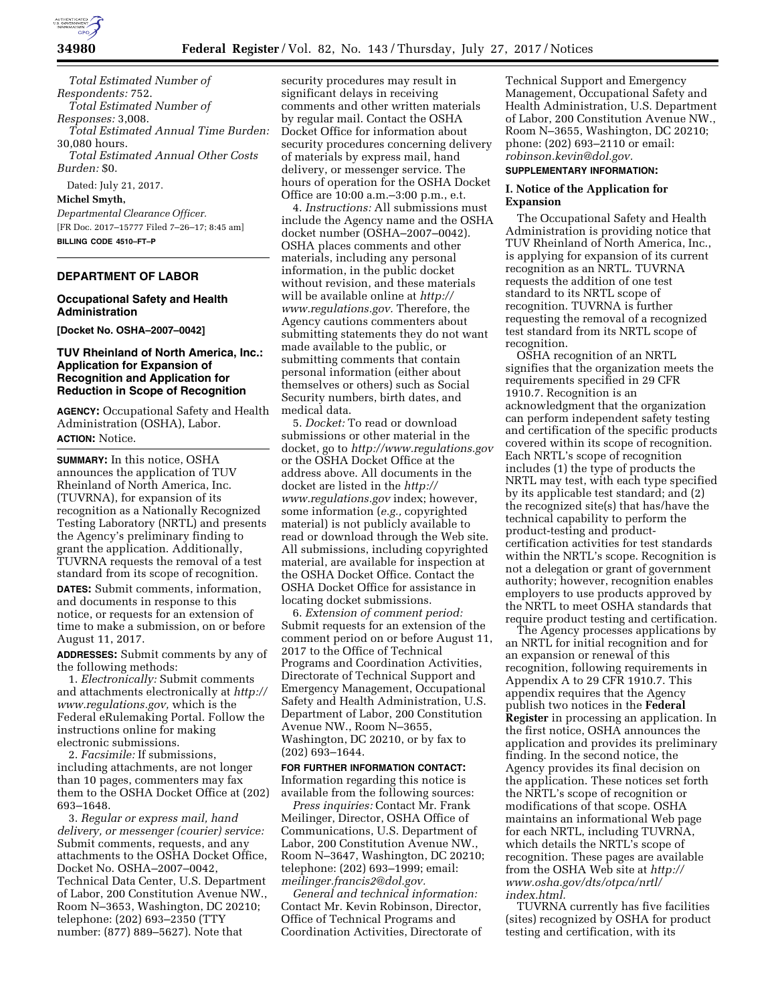

**34980 Federal Register** / Vol. 82, No. 143 / Thursday, July 27, 2017 / Notices

*Total Estimated Number of Respondents:* 752. *Total Estimated Number of Responses:* 3,008. *Total Estimated Annual Time Burden:*  30,080 hours. *Total Estimated Annual Other Costs Burden:* \$0.

Dated: July 21, 2017.

**Michel Smyth,** 

*Departmental Clearance Officer.*  [FR Doc. 2017–15777 Filed 7–26–17; 8:45 am] **BILLING CODE 4510–FT–P** 

#### **DEPARTMENT OF LABOR**

## **Occupational Safety and Health Administration**

**[Docket No. OSHA–2007–0042]** 

### **TUV Rheinland of North America, Inc.: Application for Expansion of Recognition and Application for Reduction in Scope of Recognition**

**AGENCY:** Occupational Safety and Health Administration (OSHA), Labor. **ACTION:** Notice.

**SUMMARY:** In this notice, OSHA announces the application of TUV Rheinland of North America, Inc. (TUVRNA), for expansion of its recognition as a Nationally Recognized Testing Laboratory (NRTL) and presents the Agency's preliminary finding to grant the application. Additionally, TUVRNA requests the removal of a test standard from its scope of recognition.

**DATES:** Submit comments, information, and documents in response to this notice, or requests for an extension of time to make a submission, on or before August 11, 2017.

**ADDRESSES:** Submit comments by any of the following methods:

1. *Electronically:* Submit comments and attachments electronically at *[http://](http://www.regulations.gov)  [www.regulations.gov,](http://www.regulations.gov)* which is the Federal eRulemaking Portal. Follow the instructions online for making electronic submissions.

2. *Facsimile:* If submissions, including attachments, are not longer than 10 pages, commenters may fax them to the OSHA Docket Office at (202) 693–1648.

3. *Regular or express mail, hand delivery, or messenger (courier) service:*  Submit comments, requests, and any attachments to the OSHA Docket Office, Docket No. OSHA–2007–0042, Technical Data Center, U.S. Department of Labor, 200 Constitution Avenue NW., Room N–3653, Washington, DC 20210; telephone: (202) 693–2350 (TTY number: (877) 889–5627). Note that

security procedures may result in significant delays in receiving comments and other written materials by regular mail. Contact the OSHA Docket Office for information about security procedures concerning delivery of materials by express mail, hand delivery, or messenger service. The hours of operation for the OSHA Docket Office are 10:00 a.m.–3:00 p.m., e.t.

4. *Instructions:* All submissions must include the Agency name and the OSHA docket number (OSHA–2007–0042). OSHA places comments and other materials, including any personal information, in the public docket without revision, and these materials will be available online at *[http://](http://www.regulations.gov) [www.regulations.gov.](http://www.regulations.gov)* Therefore, the Agency cautions commenters about submitting statements they do not want made available to the public, or submitting comments that contain personal information (either about themselves or others) such as Social Security numbers, birth dates, and medical data.

5. *Docket:* To read or download submissions or other material in the docket, go to *<http://www.regulations.gov>*  or the OSHA Docket Office at the address above. All documents in the docket are listed in the *[http://](http://www.regulations.gov) [www.regulations.gov](http://www.regulations.gov)* index; however, some information (*e.g.,* copyrighted material) is not publicly available to read or download through the Web site. All submissions, including copyrighted material, are available for inspection at the OSHA Docket Office. Contact the OSHA Docket Office for assistance in locating docket submissions.

6. *Extension of comment period:*  Submit requests for an extension of the comment period on or before August 11, 2017 to the Office of Technical Programs and Coordination Activities, Directorate of Technical Support and Emergency Management, Occupational Safety and Health Administration, U.S. Department of Labor, 200 Constitution Avenue NW., Room N–3655, Washington, DC 20210, or by fax to (202) 693–1644.

#### **FOR FURTHER INFORMATION CONTACT:**  Information regarding this notice is available from the following sources:

*Press inquiries:* Contact Mr. Frank Meilinger, Director, OSHA Office of Communications, U.S. Department of Labor, 200 Constitution Avenue NW., Room N–3647, Washington, DC 20210; telephone: (202) 693–1999; email: *[meilinger.francis2@dol.gov.](mailto:meilinger.francis2@dol.gov)* 

*General and technical information:*  Contact Mr. Kevin Robinson, Director, Office of Technical Programs and Coordination Activities, Directorate of

Technical Support and Emergency Management, Occupational Safety and Health Administration, U.S. Department of Labor, 200 Constitution Avenue NW., Room N–3655, Washington, DC 20210; phone: (202) 693–2110 or email: *[robinson.kevin@dol.gov.](mailto:robinson.kevin@dol.gov)*  **SUPPLEMENTARY INFORMATION:** 

### **I. Notice of the Application for Expansion**

The Occupational Safety and Health Administration is providing notice that TUV Rheinland of North America, Inc., is applying for expansion of its current recognition as an NRTL. TUVRNA requests the addition of one test standard to its NRTL scope of recognition. TUVRNA is further requesting the removal of a recognized test standard from its NRTL scope of recognition.

OSHA recognition of an NRTL signifies that the organization meets the requirements specified in 29 CFR 1910.7. Recognition is an acknowledgment that the organization can perform independent safety testing and certification of the specific products covered within its scope of recognition. Each NRTL's scope of recognition includes (1) the type of products the NRTL may test, with each type specified by its applicable test standard; and (2) the recognized site(s) that has/have the technical capability to perform the product-testing and productcertification activities for test standards within the NRTL's scope. Recognition is not a delegation or grant of government authority; however, recognition enables employers to use products approved by the NRTL to meet OSHA standards that require product testing and certification.

The Agency processes applications by an NRTL for initial recognition and for an expansion or renewal of this recognition, following requirements in Appendix A to 29 CFR 1910.7. This appendix requires that the Agency publish two notices in the **Federal Register** in processing an application. In the first notice, OSHA announces the application and provides its preliminary finding. In the second notice, the Agency provides its final decision on the application. These notices set forth the NRTL's scope of recognition or modifications of that scope. OSHA maintains an informational Web page for each NRTL, including TUVRNA, which details the NRTL's scope of recognition. These pages are available from the OSHA Web site at *[http://](http://www.osha.gov/dts/otpca/nrtl/index.html) [www.osha.gov/dts/otpca/nrtl/](http://www.osha.gov/dts/otpca/nrtl/index.html)  [index.html.](http://www.osha.gov/dts/otpca/nrtl/index.html)* 

TUVRNA currently has five facilities (sites) recognized by OSHA for product testing and certification, with its